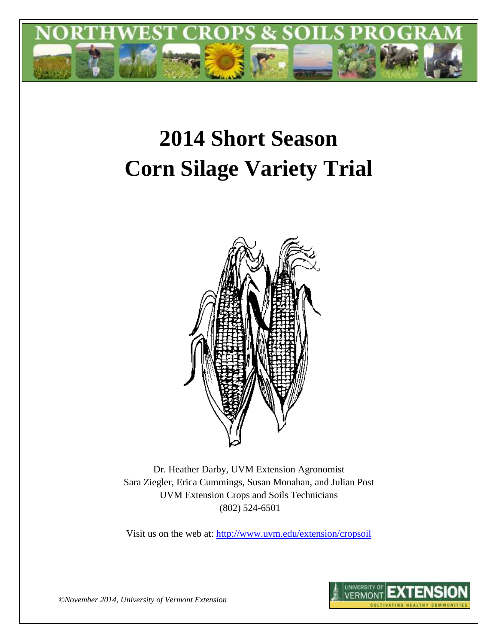

# **2014 Short Season Corn Silage Variety Trial**



Dr. Heather Darby, UVM Extension Agronomist Sara Ziegler, Erica Cummings, Susan Monahan, and Julian Post UVM Extension Crops and Soils Technicians (802) 524-6501

Visit us on the web at: <http://www.uvm.edu/extension/cropsoil>



*©November 2014, University of Vermont Extension*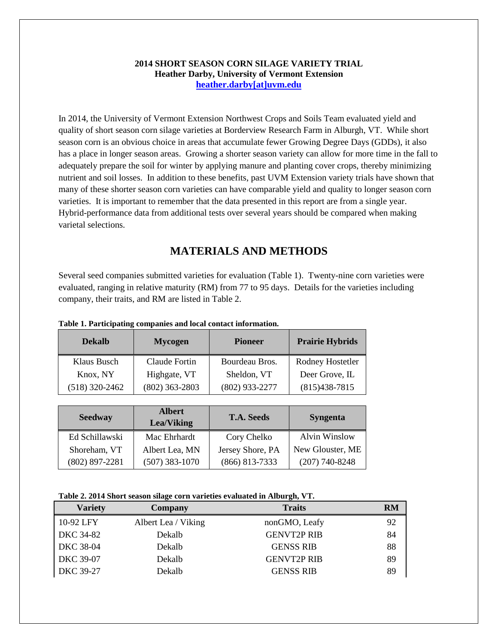#### **2014 SHORT SEASON CORN SILAGE VARIETY TRIAL Heather Darby, University of Vermont Extension [heather.darby\[at\]uvm.edu](mailto:heather.darby@uvm.edu?subject=2012%20Short%20Season%20Corn%20Report)**

In 2014, the University of Vermont Extension Northwest Crops and Soils Team evaluated yield and quality of short season corn silage varieties at Borderview Research Farm in Alburgh, VT. While short season corn is an obvious choice in areas that accumulate fewer Growing Degree Days (GDDs), it also has a place in longer season areas. Growing a shorter season variety can allow for more time in the fall to adequately prepare the soil for winter by applying manure and planting cover crops, thereby minimizing nutrient and soil losses. In addition to these benefits, past UVM Extension variety trials have shown that many of these shorter season corn varieties can have comparable yield and quality to longer season corn varieties. It is important to remember that the data presented in this report are from a single year. Hybrid-performance data from additional tests over several years should be compared when making varietal selections.

## **MATERIALS AND METHODS**

Several seed companies submitted varieties for evaluation (Table 1). Twenty-nine corn varieties were evaluated, ranging in relative maturity (RM) from 77 to 95 days. Details for the varieties including company, their traits, and RM are listed in Table 2.

**Table 1. Participating companies and local contact information.**

| <b>Dekalb</b>    | <b>Mycogen</b>   | <b>Pioneer</b> | <b>Prairie Hybrids</b> |
|------------------|------------------|----------------|------------------------|
| Klaus Busch      | Claude Fortin    | Bourdeau Bros. | Rodney Hostetler       |
| Knox, NY         | Highgate, VT     | Sheldon, VT    | Deer Grove, IL         |
| $(518)$ 320-2462 | $(802)$ 363-2803 | (802) 933-2277 | $(815)438-7815$        |

| <b>Seedway</b>     | <b>Albert</b><br><b>Lea/Viking</b> | <b>T.A. Seeds</b> | <b>Syngenta</b>      |
|--------------------|------------------------------------|-------------------|----------------------|
| Ed Schillawski     | Mac Ehrhardt                       | Cory Chelko       | <b>Alvin Winslow</b> |
| Shoreham, VT       | Albert Lea, MN                     | Jersey Shore, PA  | New Glouster, ME     |
| $(802) 897 - 2281$ | $(507)$ 383-1070                   | $(866)$ 813-7333  | $(207)$ 740-8248     |

| Table 2. 2014 Short season silage corn varieties evaluated in Alburgh, VT. |  |
|----------------------------------------------------------------------------|--|
|----------------------------------------------------------------------------|--|

| <b>Variety</b> | Company             | <b>Traits</b>      | RM |
|----------------|---------------------|--------------------|----|
| 10-92 LFY      | Albert Lea / Viking | nonGMO, Leafy      | 92 |
| DKC 34-82      | Dekalb              | <b>GENVT2P RIB</b> | 84 |
| DKC 38-04      | Dekalb              | <b>GENSS RIB</b>   | 88 |
| DKC 39-07      | Dekalb              | <b>GENVT2P RIB</b> | 89 |
| DKC 39-27      | Dekalb              | <b>GENSS RIB</b>   | 89 |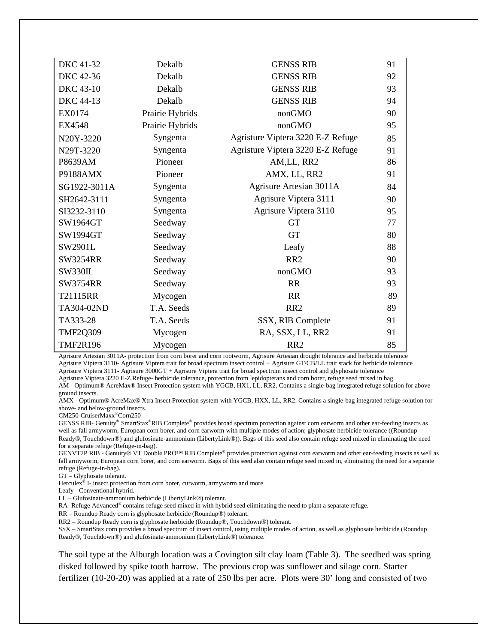| DKC 41-32        | Dekalb          | <b>GENSS RIB</b>                  | 91     |
|------------------|-----------------|-----------------------------------|--------|
| DKC 42-36        | Dekalb          | <b>GENSS RIB</b>                  | 92     |
| <b>DKC</b> 43-10 | Dekalb          | <b>GENSS RIB</b>                  | 93     |
| <b>DKC</b> 44-13 | Dekalb          | <b>GENSS RIB</b>                  | 94     |
| EX0174           | Prairie Hybrids | nonGMO                            | 90     |
| <b>EX4548</b>    | Prairie Hybrids | nonGMO                            | 95     |
| N20Y-3220        | Syngenta        | Agristure Viptera 3220 E-Z Refuge | 85     |
| N29T-3220        | Syngenta        | Agristure Viptera 3220 E-Z Refuge | 91     |
| P8639AM          | Pioneer         | AM,LL, RR2                        | 86     |
| P9188AMX         | Pioneer         | AMX, LL, RR2                      | 91     |
| SG1922-3011A     | Syngenta        | Agrisure Artesian 3011A           | 84     |
| SH2642-3111      | Syngenta        | Agrisure Viptera 3111             | 90     |
| SI3232-3110      | Syngenta        | Agrisure Viptera 3110             | 95     |
| SW1964GT         | Seedway         | <b>GT</b>                         | $77\,$ |
| SW1994GT         | Seedway         | <b>GT</b>                         | 80     |
| SW2901L          | Seedway         | Leafy                             | 88     |
| <b>SW3254RR</b>  | Seedway         | RR <sub>2</sub>                   | 90     |
| SW330IL          | Seedway         | nonGMO                            | 93     |
| <b>SW3754RR</b>  | Seedway         | <b>RR</b>                         | 93     |
| T21115RR         | Mycogen         | <b>RR</b>                         | 89     |
| TA304-02ND       | T.A. Seeds      | RR <sub>2</sub>                   | 89     |
| TA333-28         | T.A. Seeds      | SSX, RIB Complete                 | 91     |
| <b>TMF2Q309</b>  | Mycogen         | RA, SSX, LL, RR2                  | 91     |
| <b>TMF2R196</b>  | Mycogen         | RR <sub>2</sub>                   | 85     |

Agrisure Artesian 3011A- protection from corn borer and corn rootworm, Agrisure Artesian drought tolerance and herbicide tolerance Agrisure Viptera 3110- Agrisure Viptera trait for broad spectrum insect control + Agrisure GT/CB/LL trait stack for herbicide tolerance Agrisure Viptera 3111- Agrisure 3000GT + Agrisure Viptera trait for broad spectrum insect control and glyphosate tolerance

Agristure Viptera 3220 E-Z Refuge- herbicide tolerance, protection from lepidopterans and corn borer, refuge seed mixed in bag AM - Optimum® AcreMax® Insect Protection system with YGCB, HX1, LL, RR2. Contains a single-bag integrated refuge solution for aboveground insects.

AMX - Optimum® AcreMax® Xtra Insect Protection system with YGCB, HXX, LL, RR2. Contains a single-bag integrated refuge solution for above- and below-ground insects.

CM250-CruiserMaxx®Corn250

GENSS RIB- Genuity® SmartStax®RIB Complete® provides broad spectrum protection against corn earworm and other ear-feeding insects as well as fall armyworm, European corn borer, and corn earworm with multiple modes of action; glyphosate herbicide tolerance ((Roundup Ready®, Touchdown®) and glufosinate-ammonium (LibertyLink®)). Bags of this seed also contain refuge seed mixed in eliminating the need for a separate refuge (Refuge-in-bag).

GENVT2P RIB - Genuity® VT Double PRO™ RIB Complete® provides protection against corn earworm and other ear-feeding insects as well as fall armyworm, European corn borer, and corn earworm. Bags of this seed also contain refuge seed mixed in, eliminating the need for a separate refuge (Refuge-in-bag).

GT – Glyphosate tolerant.

Herculex $^{\circledR}$  I- insect protection from corn borer, cutworm, armyworm and more

Leafy - Conventional hybrid.

LL – Glufosinate-ammonium herbicide (LibertyLink®) tolerant.

RA- Refuge Advanced® contains refuge seed mixed in with hybrid seed eliminating the need to plant a separate refuge.

RR – Roundup Ready corn is glyphosate herbicide (Roundup®) tolerant.

RR2 – Roundup Ready corn is glyphosate herbicide (Roundup®, Touchdown®) tolerant.

SSX – SmartStax corn provides a broad spectrum of insect control, using multiple modes of action, as well as glyphosate herbicide (Roundup Ready®, Touchdown®) and glufosinate-ammonium (LibertyLink®) tolerance.

The soil type at the Alburgh location was a Covington silt clay loam (Table 3). The seedbed was spring disked followed by spike tooth harrow. The previous crop was sunflower and silage corn. Starter fertilizer (10-20-20) was applied at a rate of 250 lbs per acre. Plots were 30' long and consisted of two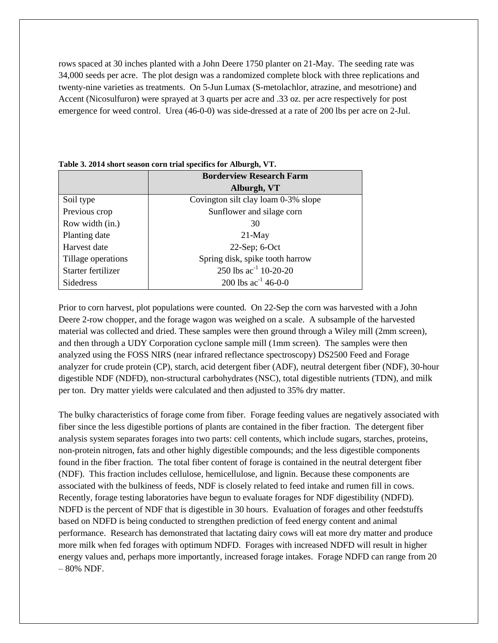rows spaced at 30 inches planted with a John Deere 1750 planter on 21-May. The seeding rate was 34,000 seeds per acre. The plot design was a randomized complete block with three replications and twenty-nine varieties as treatments. On 5-Jun Lumax (S-metolachlor, atrazine, and mesotrione) and Accent (Nicosulfuron) were sprayed at 3 quarts per acre and .33 oz. per acre respectively for post emergence for weed control. Urea (46-0-0) was side-dressed at a rate of 200 lbs per acre on 2-Jul.

|                    | <b>Borderview Research Farm</b>     |
|--------------------|-------------------------------------|
|                    | Alburgh, VT                         |
| Soil type          | Covington silt clay loam 0-3% slope |
| Previous crop      | Sunflower and silage corn           |
| Row width (in.)    | 30                                  |
| Planting date      | $21$ -May                           |
| Harvest date       | $22$ -Sep; 6-Oct                    |
| Tillage operations | Spring disk, spike tooth harrow     |
| Starter fertilizer | 250 lbs ac <sup>-1</sup> 10-20-20   |
| Sidedress          | 200 lbs $ac^{-1}$ 46-0-0            |

| Table 3. 2014 short season corn trial specifics for Alburgh, VT. |  |  |  |  |  |  |  |  |  |
|------------------------------------------------------------------|--|--|--|--|--|--|--|--|--|
|------------------------------------------------------------------|--|--|--|--|--|--|--|--|--|

Prior to corn harvest, plot populations were counted. On 22-Sep the corn was harvested with a John Deere 2-row chopper, and the forage wagon was weighed on a scale. A subsample of the harvested material was collected and dried. These samples were then ground through a Wiley mill (2mm screen), and then through a UDY Corporation cyclone sample mill (1mm screen). The samples were then analyzed using the FOSS NIRS (near infrared reflectance spectroscopy) DS2500 Feed and Forage analyzer for crude protein (CP), starch, acid detergent fiber (ADF), neutral detergent fiber (NDF), 30-hour digestible NDF (NDFD), non-structural carbohydrates (NSC), total digestible nutrients (TDN), and milk per ton. Dry matter yields were calculated and then adjusted to 35% dry matter.

The bulky characteristics of forage come from fiber. Forage feeding values are negatively associated with fiber since the less digestible portions of plants are contained in the fiber fraction. The detergent fiber analysis system separates forages into two parts: cell contents, which include sugars, starches, proteins, non-protein nitrogen, fats and other highly digestible compounds; and the less digestible components found in the fiber fraction. The total fiber content of forage is contained in the neutral detergent fiber (NDF). This fraction includes cellulose, hemicellulose, and lignin. Because these components are associated with the bulkiness of feeds, NDF is closely related to feed intake and rumen fill in cows. Recently, forage testing laboratories have begun to evaluate forages for NDF digestibility (NDFD). NDFD is the percent of NDF that is digestible in 30 hours. Evaluation of forages and other feedstuffs based on NDFD is being conducted to strengthen prediction of feed energy content and animal performance. Research has demonstrated that lactating dairy cows will eat more dry matter and produce more milk when fed forages with optimum NDFD. Forages with increased NDFD will result in higher energy values and, perhaps more importantly, increased forage intakes. Forage NDFD can range from 20 – 80% NDF.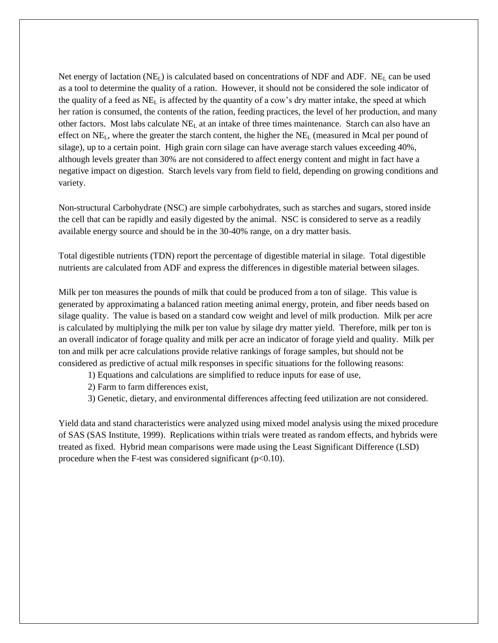Net energy of lactation ( $NE<sub>L</sub>$ ) is calculated based on concentrations of NDF and ADF. NE<sub>L</sub> can be used as a tool to determine the quality of a ration. However, it should not be considered the sole indicator of the quality of a feed as  $NE<sub>L</sub>$  is affected by the quantity of a cow's dry matter intake, the speed at which her ration is consumed, the contents of the ration, feeding practices, the level of her production, and many other factors. Most labs calculate  $NE<sub>L</sub>$  at an intake of three times maintenance. Starch can also have an effect on  $NE<sub>L</sub>$ , where the greater the starch content, the higher the  $NE<sub>L</sub>$  (measured in Mcal per pound of silage), up to a certain point. High grain corn silage can have average starch values exceeding 40%, although levels greater than 30% are not considered to affect energy content and might in fact have a negative impact on digestion. Starch levels vary from field to field, depending on growing conditions and variety.

Non-structural Carbohydrate (NSC) are simple carbohydrates, such as starches and sugars, stored inside the cell that can be rapidly and easily digested by the animal. NSC is considered to serve as a readily available energy source and should be in the 30-40% range, on a dry matter basis.

Total digestible nutrients (TDN) report the percentage of digestible material in silage. Total digestible nutrients are calculated from ADF and express the differences in digestible material between silages.

Milk per ton measures the pounds of milk that could be produced from a ton of silage. This value is generated by approximating a balanced ration meeting animal energy, protein, and fiber needs based on silage quality. The value is based on a standard cow weight and level of milk production. Milk per acre is calculated by multiplying the milk per ton value by silage dry matter yield. Therefore, milk per ton is an overall indicator of forage quality and milk per acre an indicator of forage yield and quality. Milk per ton and milk per acre calculations provide relative rankings of forage samples, but should not be considered as predictive of actual milk responses in specific situations for the following reasons:

- 1) Equations and calculations are simplified to reduce inputs for ease of use,
- 2) Farm to farm differences exist,
- 3) Genetic, dietary, and environmental differences affecting feed utilization are not considered.

Yield data and stand characteristics were analyzed using mixed model analysis using the mixed procedure of SAS (SAS Institute, 1999). Replications within trials were treated as random effects, and hybrids were treated as fixed. Hybrid mean comparisons were made using the Least Significant Difference (LSD) procedure when the F-test was considered significant  $(p<0.10)$ .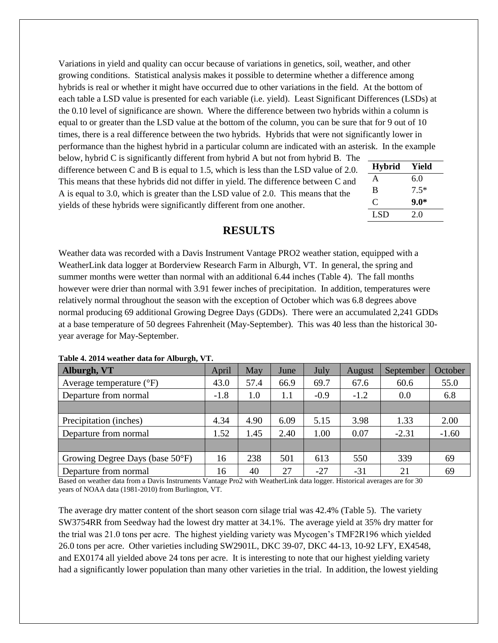Variations in yield and quality can occur because of variations in genetics, soil, weather, and other growing conditions. Statistical analysis makes it possible to determine whether a difference among hybrids is real or whether it might have occurred due to other variations in the field. At the bottom of each table a LSD value is presented for each variable (i.e. yield). Least Significant Differences (LSDs) at the 0.10 level of significance are shown. Where the difference between two hybrids within a column is equal to or greater than the LSD value at the bottom of the column, you can be sure that for 9 out of 10 times, there is a real difference between the two hybrids. Hybrids that were not significantly lower in performance than the highest hybrid in a particular column are indicated with an asterisk. In the example

below, hybrid C is significantly different from hybrid A but not from hybrid B. The difference between C and B is equal to 1.5, which is less than the LSD value of 2.0. This means that these hybrids did not differ in yield. The difference between C and A is equal to 3.0, which is greater than the LSD value of 2.0. This means that the yields of these hybrids were significantly different from one another.

| <b>Hybrid</b> | Yield  |
|---------------|--------|
| A             | 6.0    |
| B             | $7.5*$ |
| €             | $9.0*$ |
| LSD           | 2.0    |

## **RESULTS**

Weather data was recorded with a Davis Instrument Vantage PRO2 weather station, equipped with a WeatherLink data logger at Borderview Research Farm in Alburgh, VT. In general, the spring and summer months were wetter than normal with an additional 6.44 inches (Table 4). The fall months however were drier than normal with 3.91 fewer inches of precipitation. In addition, temperatures were relatively normal throughout the season with the exception of October which was 6.8 degrees above normal producing 69 additional Growing Degree Days (GDDs). There were an accumulated 2,241 GDDs at a base temperature of 50 degrees Fahrenheit (May-September). This was 40 less than the historical 30 year average for May-September.

| Alburgh, VT                               | April  | May  | June | July   | August | September | October |
|-------------------------------------------|--------|------|------|--------|--------|-----------|---------|
| Average temperature $({}^{\circ}F)$       | 43.0   | 57.4 | 66.9 | 69.7   | 67.6   | 60.6      | 55.0    |
| Departure from normal                     | $-1.8$ | 1.0  | 1.1  | $-0.9$ | $-1.2$ | 0.0       | 6.8     |
|                                           |        |      |      |        |        |           |         |
| Precipitation (inches)                    | 4.34   | 4.90 | 6.09 | 5.15   | 3.98   | 1.33      | 2.00    |
| Departure from normal                     | 1.52   | 1.45 | 2.40 | 1.00   | 0.07   | $-2.31$   | $-1.60$ |
|                                           |        |      |      |        |        |           |         |
| Growing Degree Days (base $50^{\circ}$ F) | 16     | 238  | 501  | 613    | 550    | 339       | 69      |
| Departure from normal                     | 16     | 40   | 27   | $-27$  | $-31$  | 21        | 69      |

#### **Table 4. 2014 weather data for Alburgh, VT.**

Based on weather data from a Davis Instruments Vantage Pro2 with WeatherLink data logger. Historical averages are for 30 years of NOAA data (1981-2010) from Burlington, VT.

The average dry matter content of the short season corn silage trial was 42.4% (Table 5). The variety SW3754RR from Seedway had the lowest dry matter at 34.1%. The average yield at 35% dry matter for the trial was 21.0 tons per acre. The highest yielding variety was Mycogen's TMF2R196 which yielded 26.0 tons per acre. Other varieties including SW2901L, DKC 39-07, DKC 44-13, 10-92 LFY, EX4548, and EX0174 all yielded above 24 tons per acre. It is interesting to note that our highest yielding variety had a significantly lower population than many other varieties in the trial. In addition, the lowest yielding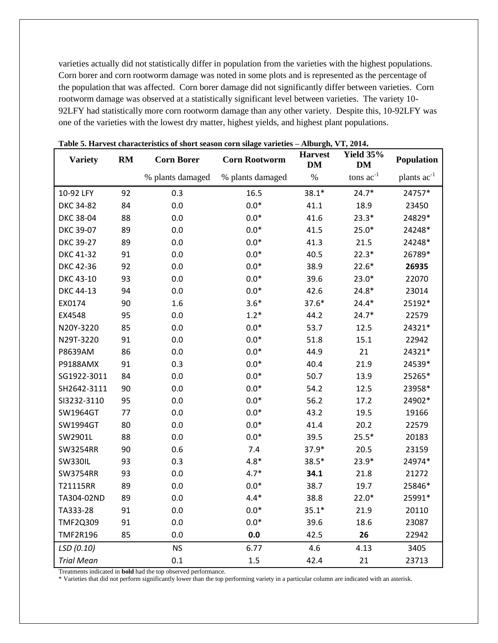varieties actually did not statistically differ in population from the varieties with the highest populations. Corn borer and corn rootworm damage was noted in some plots and is represented as the percentage of the population that was affected. Corn borer damage did not significantly differ between varieties. Corn rootworm damage was observed at a statistically significant level between varieties. The variety 10- 92LFY had statistically more corn rootworm damage than any other variety. Despite this, 10-92LFY was one of the varieties with the lowest dry matter, highest yields, and highest plant populations.

| <b>Variety</b>    | RM | <b>Corn Borer</b> | <b>Corn Rootworm</b> | <b>Harvest</b><br>$\mathbf{DM}$ | Yield 35%<br>DM | Population              |
|-------------------|----|-------------------|----------------------|---------------------------------|-----------------|-------------------------|
|                   |    | % plants damaged  | % plants damaged     | $\%$                            | tons $ac^{-1}$  | plants ac <sup>-1</sup> |
| 10-92 LFY         | 92 | 0.3               | 16.5                 | $38.1*$                         | $24.7*$         | 24757*                  |
| DKC 34-82         | 84 | 0.0               | $0.0*$               | 41.1                            | 18.9            | 23450                   |
| DKC 38-04         | 88 | 0.0               | $0.0*$               | 41.6                            | $23.3*$         | 24829*                  |
| DKC 39-07         | 89 | 0.0               | $0.0*$               | 41.5                            | $25.0*$         | 24248*                  |
| DKC 39-27         | 89 | 0.0               | $0.0*$               | 41.3                            | 21.5            | 24248*                  |
| DKC 41-32         | 91 | 0.0               | $0.0*$               | 40.5                            | $22.3*$         | 26789*                  |
| DKC 42-36         | 92 | 0.0               | $0.0*$               | 38.9                            | $22.6*$         | 26935                   |
| DKC 43-10         | 93 | 0.0               | $0.0*$               | 39.6                            | $23.0*$         | 22070                   |
| DKC 44-13         | 94 | 0.0               | $0.0*$               | 42.6                            | $24.8*$         | 23014                   |
| EX0174            | 90 | 1.6               | $3.6*$               | $37.6*$                         | $24.4*$         | 25192*                  |
| EX4548            | 95 | 0.0               | $1.2*$               | 44.2                            | $24.7*$         | 22579                   |
| N20Y-3220         | 85 | 0.0               | $0.0*$               | 53.7                            | 12.5            | 24321*                  |
| N29T-3220         | 91 | 0.0               | $0.0*$               | 51.8                            | 15.1            | 22942                   |
| P8639AM           | 86 | 0.0               | $0.0*$               | 44.9                            | 21              | 24321*                  |
| P9188AMX          | 91 | 0.3               | $0.0*$               | 40.4                            | 21.9            | 24539*                  |
| SG1922-3011       | 84 | 0.0               | $0.0*$               | 50.7                            | 13.9            | 25265*                  |
| SH2642-3111       | 90 | 0.0               | $0.0*$               | 54.2                            | 12.5            | 23958*                  |
| SI3232-3110       | 95 | 0.0               | $0.0*$               | 56.2                            | 17.2            | 24902*                  |
| SW1964GT          | 77 | 0.0               | $0.0*$               | 43.2                            | 19.5            | 19166                   |
| SW1994GT          | 80 | 0.0               | $0.0*$               | 41.4                            | 20.2            | 22579                   |
| SW2901L           | 88 | 0.0               | $0.0*$               | 39.5                            | $25.5*$         | 20183                   |
| <b>SW3254RR</b>   | 90 | 0.6               | 7.4                  | 37.9*                           | 20.5            | 23159                   |
| <b>SW330IL</b>    | 93 | 0.3               | $4.8*$               | $38.5*$                         | 23.9*           | 24974*                  |
| <b>SW3754RR</b>   | 93 | 0.0               | $4.7*$               | 34.1                            | 21.8            | 21272                   |
| T21115RR          | 89 | 0.0               | $0.0*$               | 38.7                            | 19.7            | 25846*                  |
| TA304-02ND        | 89 | 0.0               | $4.4*$               | 38.8                            | $22.0*$         | 25991*                  |
| TA333-28          | 91 | $0.0\,$           | $0.0*$               | $35.1*$                         | 21.9            | 20110                   |
| TMF2Q309          | 91 | 0.0               | $0.0*$               | 39.6                            | 18.6            | 23087                   |
| <b>TMF2R196</b>   | 85 | 0.0               | 0.0                  | 42.5                            | 26              | 22942                   |
| LSD (0.10)        |    | <b>NS</b>         | 6.77                 | 4.6                             | 4.13            | 3405                    |
| <b>Trial Mean</b> |    | 0.1               | 1.5                  | 42.4                            | 21              | 23713                   |

**Table 5. Harvest characteristics of short season corn silage varieties – Alburgh, VT, 2014.**

Treatments indicated in **bold** had the top observed performance.

\* Varieties that did not perform significantly lower than the top performing variety in a particular column are indicated with an asterisk.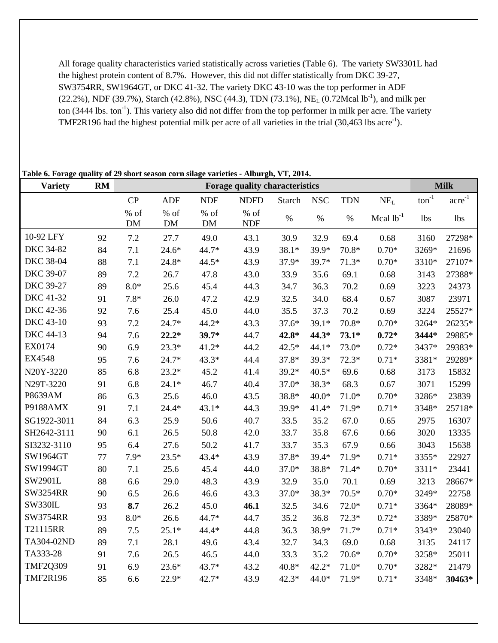All forage quality characteristics varied statistically across varieties (Table 6). The variety SW3301L had the highest protein content of 8.7%. However, this did not differ statistically from DKC 39-27, SW3754RR, SW1964GT, or DKC 41-32. The variety DKC 43-10 was the top performer in ADF  $(22.2\%)$ , NDF (39.7%), Starch (42.8%), NSC (44.3), TDN (73.1%), NE<sub>L</sub> (0.72Mcal lb<sup>-1</sup>), and milk per ton  $(3444 \text{ lbs. ton}^{-1})$ . This variety also did not differ from the top performer in milk per acre. The variety TMF2R196 had the highest potential milk per acre of all varieties in the trial  $(30,463 \text{ lbs acre}^{-1})$ .

**Table 6. Forage quality of 29 short season corn silage varieties - Alburgh, VT, 2014.**

| <b>Variety</b>   | <b>RM</b> | <b>Forage quality characteristics</b> |              |            |                      |               |            | <b>Milk</b> |                 |                                     |                      |
|------------------|-----------|---------------------------------------|--------------|------------|----------------------|---------------|------------|-------------|-----------------|-------------------------------------|----------------------|
|                  |           | CP                                    | <b>ADF</b>   | <b>NDF</b> | <b>NDFD</b>          | <b>Starch</b> | <b>NSC</b> | <b>TDN</b>  | NE <sub>L</sub> | $\mathop{\text{ton}}\nolimits^{-1}$ | $\mathrm{acre}^{-1}$ |
|                  |           | % of<br>DM                            | $%$ of<br>DM | % of<br>DM | $%$ of<br><b>NDF</b> | $\%$          | $\%$       | $\%$        | Mcal $lb^{-1}$  | <b>lbs</b>                          | <b>lbs</b>           |
| 10-92 LFY        | 92        | 7.2                                   | 27.7         | 49.0       | 43.1                 | 30.9          | 32.9       | 69.4        | 0.68            | 3160                                | 27298*               |
| <b>DKC 34-82</b> | 84        | 7.1                                   | $24.6*$      | 44.7*      | 43.9                 | $38.1*$       | 39.9*      | 70.8*       | $0.70*$         | 3269*                               | 21696                |
| DKC 38-04        | 88        | 7.1                                   | 24.8*        | 44.5*      | 43.9                 | 37.9*         | 39.7*      | $71.3*$     | $0.70*$         | 3310*                               | 27107*               |
| DKC 39-07        | 89        | 7.2                                   | 26.7         | 47.8       | 43.0                 | 33.9          | 35.6       | 69.1        | 0.68            | 3143                                | 27388*               |
| DKC 39-27        | 89        | $8.0*$                                | 25.6         | 45.4       | 44.3                 | 34.7          | 36.3       | 70.2        | 0.69            | 3223                                | 24373                |
| DKC 41-32        | 91        | $7.8*$                                | 26.0         | 47.2       | 42.9                 | 32.5          | 34.0       | 68.4        | 0.67            | 3087                                | 23971                |
| DKC 42-36        | 92        | 7.6                                   | 25.4         | 45.0       | 44.0                 | 35.5          | 37.3       | 70.2        | 0.69            | 3224                                | 25527*               |
| DKC 43-10        | 93        | 7.2                                   | $24.7*$      | 44.2*      | 43.3                 | $37.6*$       | 39.1*      | $70.8*$     | $0.70*$         | 3264*                               | 26235*               |
| DKC 44-13        | 94        | 7.6                                   | $22.2*$      | $39.7*$    | 44.7                 | 42.8*         | 44.3*      | $73.1*$     | $0.72*$         | 3444*                               | 29885*               |
| EX0174           | 90        | 6.9                                   | $23.3*$      | $41.2*$    | 44.2                 | $42.5*$       | $44.1*$    | 73.0*       | $0.72*$         | 3437*                               | 29383*               |
| EX4548           | 95        | 7.6                                   | 24.7*        | 43.3*      | 44.4                 | $37.8*$       | 39.3*      | $72.3*$     | $0.71*$         | 3381*                               | 29289*               |
| N20Y-3220        | 85        | 6.8                                   | $23.2*$      | 45.2       | 41.4                 | 39.2*         | $40.5*$    | 69.6        | 0.68            | 3173                                | 15832                |
| N29T-3220        | 91        | 6.8                                   | $24.1*$      | 46.7       | 40.4                 | $37.0*$       | 38.3*      | 68.3        | 0.67            | 3071                                | 15299                |
| P8639AM          | 86        | 6.3                                   | 25.6         | 46.0       | 43.5                 | 38.8*         | $40.0*$    | $71.0*$     | $0.70*$         | 3286*                               | 23839                |
| P9188AMX         | 91        | 7.1                                   | $24.4*$      | 43.1*      | 44.3                 | 39.9*         | $41.4*$    | 71.9*       | $0.71*$         | 3348*                               | 25718*               |
| SG1922-3011      | 84        | 6.3                                   | 25.9         | 50.6       | 40.7                 | 33.5          | 35.2       | 67.0        | 0.65            | 2975                                | 16307                |
| SH2642-3111      | 90        | 6.1                                   | 26.5         | 50.8       | 42.0                 | 33.7          | 35.8       | 67.6        | 0.66            | 3020                                | 13335                |
| SI3232-3110      | 95        | 6.4                                   | 27.6         | 50.2       | 41.7                 | 33.7          | 35.3       | 67.9        | 0.66            | 3043                                | 15638                |
| SW1964GT         | 77        | $7.9*$                                | $23.5*$      | 43.4*      | 43.9                 | 37.8*         | 39.4*      | $71.9*$     | $0.71*$         | 3355*                               | 22927                |
| SW1994GT         | 80        | 7.1                                   | 25.6         | 45.4       | 44.0                 | $37.0*$       | 38.8*      | $71.4*$     | $0.70*$         | 3311*                               | 23441                |
| SW2901L          | 88        | 6.6                                   | 29.0         | 48.3       | 43.9                 | 32.9          | 35.0       | 70.1        | 0.69            | 3213                                | 28667*               |
| <b>SW3254RR</b>  | 90        | 6.5                                   | 26.6         | 46.6       | 43.3                 | $37.0*$       | 38.3*      | $70.5*$     | $0.70*$         | 3249*                               | 22758                |
| SW330IL          | 93        | 8.7                                   | 26.2         | 45.0       | 46.1                 | 32.5          | 34.6       | $72.0*$     | $0.71*$         | 3364*                               | 28089*               |
| <b>SW3754RR</b>  | 93        | $8.0*$                                | 26.6         | 44.7*      | 44.7                 | 35.2          | 36.8       | $72.3*$     | $0.72*$         | 3389*                               | 25870*               |
| T21115RR         | 89        | 7.5                                   | $25.1*$      | 44.4*      | 44.8                 | 36.3          | 38.9*      | $71.7*$     | $0.71*$         | 3343*                               | 23040                |
| TA304-02ND       | 89        | 7.1                                   | 28.1         | 49.6       | 43.4                 | 32.7          | 34.3       | 69.0        | 0.68            | 3135                                | 24117                |
| TA333-28         | 91        | 7.6                                   | 26.5         | 46.5       | 44.0                 | 33.3          | 35.2       | $70.6*$     | $0.70*$         | 3258*                               | 25011                |
| <b>TMF2Q309</b>  | 91        | 6.9                                   | $23.6*$      | 43.7*      | 43.2                 | $40.8*$       | $42.2*$    | $71.0*$     | $0.70*$         | 3282*                               | 21479                |
| <b>TMF2R196</b>  | 85        | 6.6                                   | 22.9*        | 42.7*      | 43.9                 | $42.3*$       | 44.0*      | 71.9*       | $0.71*$         | 3348*                               | 30463*               |
|                  |           |                                       |              |            |                      |               |            |             |                 |                                     |                      |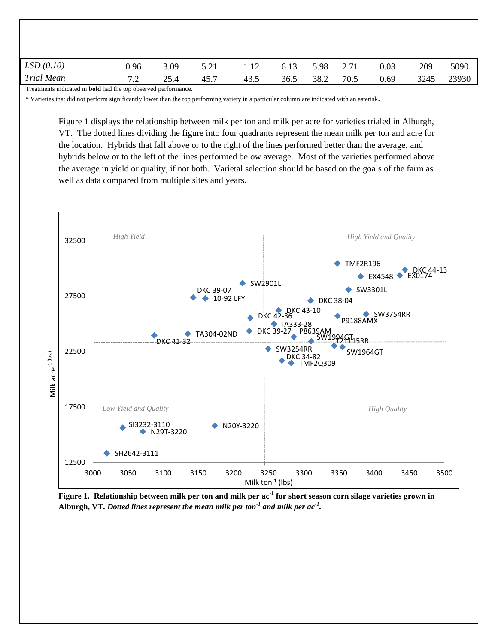| LSD(0.10)                                                                                                       | 0.96 | 3.09 | 5.21 | 1.12 | 6.13 | 5.98 | 2.71 | 0.03 | 209  | 5090  |
|-----------------------------------------------------------------------------------------------------------------|------|------|------|------|------|------|------|------|------|-------|
| Trial Mean                                                                                                      |      | 25.4 | 45.7 | 43.5 | 36.5 | 38.2 | 70.5 | 0.69 | 3245 | 23930 |
| the contract of the contract of the contract of the contract of the contract of the contract of the contract of |      |      |      |      |      |      |      |      |      |       |

Treatments indicated in **bold** had the top observed performance.

\* Varieties that did not perform significantly lower than the top performing variety in a particular column are indicated with an asterisk.

Figure 1 displays the relationship between milk per ton and milk per acre for varieties trialed in Alburgh, VT. The dotted lines dividing the figure into four quadrants represent the mean milk per ton and acre for the location. Hybrids that fall above or to the right of the lines performed better than the average, and hybrids below or to the left of the lines performed below average. Most of the varieties performed above the average in yield or quality, if not both. Varietal selection should be based on the goals of the farm as well as data compared from multiple sites and years.



**Figure 1. Relationship between milk per ton and milk per ac-1 for short season corn silage varieties grown in Alburgh, VT.** *Dotted lines represent the mean milk per ton-1 and milk per ac-1 .*